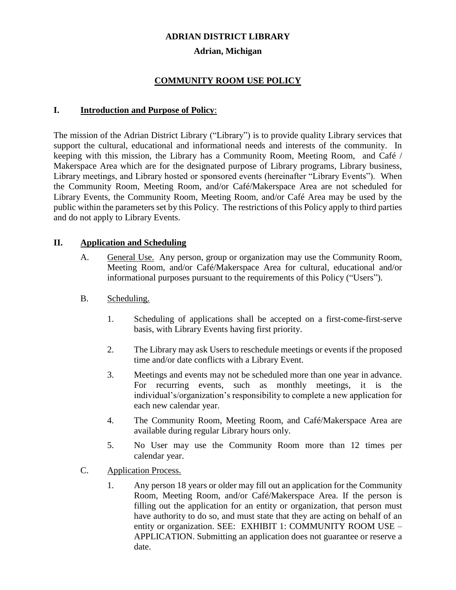#### **ADRIAN DISTRICT LIBRARY**

#### **Adrian, Michigan**

### **COMMUNITY ROOM USE POLICY**

#### **I. Introduction and Purpose of Policy**:

The mission of the Adrian District Library ("Library") is to provide quality Library services that support the cultural, educational and informational needs and interests of the community. In keeping with this mission, the Library has a Community Room, Meeting Room, and Café / Makerspace Area which are for the designated purpose of Library programs, Library business, Library meetings, and Library hosted or sponsored events (hereinafter "Library Events"). When the Community Room, Meeting Room, and/or Café/Makerspace Area are not scheduled for Library Events, the Community Room, Meeting Room, and/or Café Area may be used by the public within the parameters set by this Policy. The restrictions of this Policy apply to third parties and do not apply to Library Events.

#### **II. Application and Scheduling**

- A. General Use. Any person, group or organization may use the Community Room, Meeting Room, and/or Café/Makerspace Area for cultural, educational and/or informational purposes pursuant to the requirements of this Policy ("Users").
- B. Scheduling.
	- 1. Scheduling of applications shall be accepted on a first-come-first-serve basis, with Library Events having first priority.
	- 2. The Library may ask Users to reschedule meetings or events if the proposed time and/or date conflicts with a Library Event.
	- 3. Meetings and events may not be scheduled more than one year in advance. For recurring events, such as monthly meetings, it is the individual's/organization's responsibility to complete a new application for each new calendar year.
	- 4. The Community Room, Meeting Room, and Café/Makerspace Area are available during regular Library hours only.
	- 5. No User may use the Community Room more than 12 times per calendar year.
- C. Application Process.
	- 1. Any person 18 years or older may fill out an application for the Community Room, Meeting Room, and/or Café/Makerspace Area. If the person is filling out the application for an entity or organization, that person must have authority to do so, and must state that they are acting on behalf of an entity or organization. SEE: EXHIBIT 1: COMMUNITY ROOM USE – APPLICATION. Submitting an application does not guarantee or reserve a date.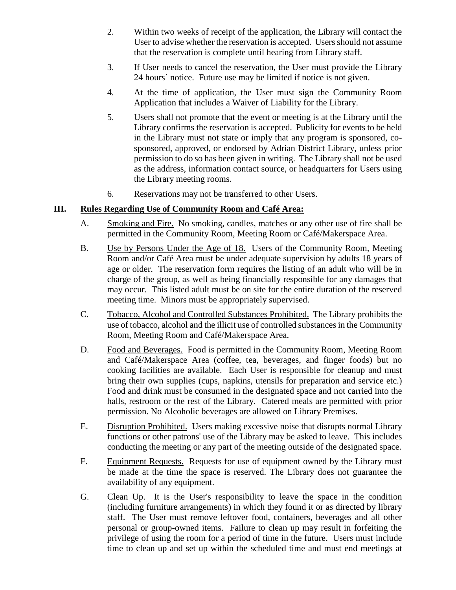- 2. Within two weeks of receipt of the application, the Library will contact the User to advise whether the reservation is accepted. Users should not assume that the reservation is complete until hearing from Library staff.
- 3. If User needs to cancel the reservation, the User must provide the Library 24 hours' notice. Future use may be limited if notice is not given.
- 4. At the time of application, the User must sign the Community Room Application that includes a Waiver of Liability for the Library.
- 5. Users shall not promote that the event or meeting is at the Library until the Library confirms the reservation is accepted. Publicity for events to be held in the Library must not state or imply that any program is sponsored, cosponsored, approved, or endorsed by Adrian District Library, unless prior permission to do so has been given in writing. The Library shall not be used as the address, information contact source, or headquarters for Users using the Library meeting rooms.
- 6. Reservations may not be transferred to other Users.

### **III. Rules Regarding Use of Community Room and Café Area:**

- A. Smoking and Fire. No smoking, candles, matches or any other use of fire shall be permitted in the Community Room, Meeting Room or Café/Makerspace Area.
- B. Use by Persons Under the Age of 18. Users of the Community Room, Meeting Room and/or Café Area must be under adequate supervision by adults 18 years of age or older. The reservation form requires the listing of an adult who will be in charge of the group, as well as being financially responsible for any damages that may occur. This listed adult must be on site for the entire duration of the reserved meeting time. Minors must be appropriately supervised.
- C. Tobacco, Alcohol and Controlled Substances Prohibited. The Library prohibits the use of tobacco, alcohol and the illicit use of controlled substances in the Community Room, Meeting Room and Café/Makerspace Area.
- D. Food and Beverages. Food is permitted in the Community Room, Meeting Room and Café/Makerspace Area (coffee, tea, beverages, and finger foods) but no cooking facilities are available. Each User is responsible for cleanup and must bring their own supplies (cups, napkins, utensils for preparation and service etc.) Food and drink must be consumed in the designated space and not carried into the halls, restroom or the rest of the Library. Catered meals are permitted with prior permission. No Alcoholic beverages are allowed on Library Premises.
- E. Disruption Prohibited. Users making excessive noise that disrupts normal Library functions or other patrons' use of the Library may be asked to leave. This includes conducting the meeting or any part of the meeting outside of the designated space.
- F. Equipment Requests. Requests for use of equipment owned by the Library must be made at the time the space is reserved. The Library does not guarantee the availability of any equipment.
- G. Clean Up. It is the User's responsibility to leave the space in the condition (including furniture arrangements) in which they found it or as directed by library staff. The User must remove leftover food, containers, beverages and all other personal or group-owned items. Failure to clean up may result in forfeiting the privilege of using the room for a period of time in the future. Users must include time to clean up and set up within the scheduled time and must end meetings at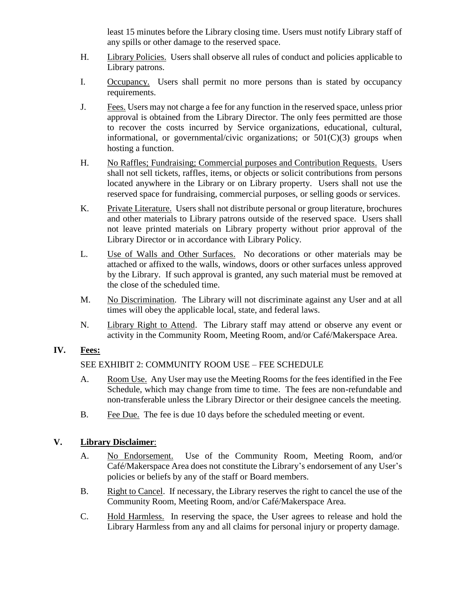least 15 minutes before the Library closing time. Users must notify Library staff of any spills or other damage to the reserved space.

- H. Library Policies. Users shall observe all rules of conduct and policies applicable to Library patrons.
- I. Occupancy. Users shall permit no more persons than is stated by occupancy requirements.
- J. Fees. Users may not charge a fee for any function in the reserved space, unless prior approval is obtained from the Library Director. The only fees permitted are those to recover the costs incurred by Service organizations, educational, cultural, informational, or governmental/civic organizations; or  $501(C)(3)$  groups when hosting a function.
- H. No Raffles; Fundraising; Commercial purposes and Contribution Requests. Users shall not sell tickets, raffles, items, or objects or solicit contributions from persons located anywhere in the Library or on Library property. Users shall not use the reserved space for fundraising, commercial purposes, or selling goods or services.
- K. Private Literature. Users shall not distribute personal or group literature, brochures and other materials to Library patrons outside of the reserved space. Users shall not leave printed materials on Library property without prior approval of the Library Director or in accordance with Library Policy.
- L. Use of Walls and Other Surfaces. No decorations or other materials may be attached or affixed to the walls, windows, doors or other surfaces unless approved by the Library. If such approval is granted, any such material must be removed at the close of the scheduled time.
- M. No Discrimination. The Library will not discriminate against any User and at all times will obey the applicable local, state, and federal laws.
- N. Library Right to Attend. The Library staff may attend or observe any event or activity in the Community Room, Meeting Room, and/or Café/Makerspace Area.

# **IV. Fees:**

# SEE EXHIBIT 2: COMMUNITY ROOM USE – FEE SCHEDULE

- A. Room Use. Any User may use the Meeting Rooms for the fees identified in the Fee Schedule, which may change from time to time. The fees are non-refundable and non-transferable unless the Library Director or their designee cancels the meeting.
- B. Fee Due. The fee is due 10 days before the scheduled meeting or event.

# **V. Library Disclaimer**:

- A. No Endorsement. Use of the Community Room, Meeting Room, and/or Café/Makerspace Area does not constitute the Library's endorsement of any User's policies or beliefs by any of the staff or Board members.
- B. Right to Cancel. If necessary, the Library reserves the right to cancel the use of the Community Room, Meeting Room, and/or Café/Makerspace Area.
- C. Hold Harmless. In reserving the space, the User agrees to release and hold the Library Harmless from any and all claims for personal injury or property damage.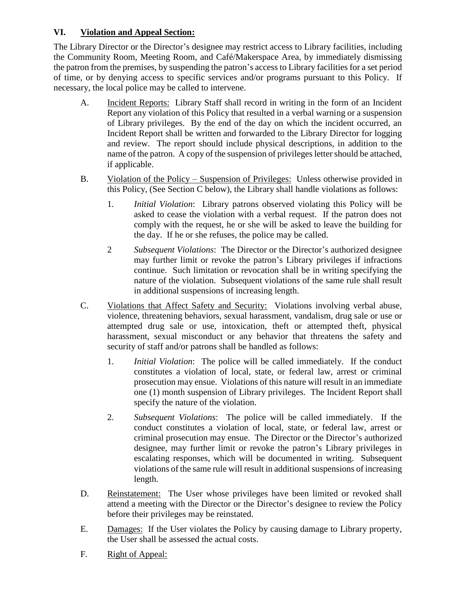# **VI. Violation and Appeal Section:**

The Library Director or the Director's designee may restrict access to Library facilities, including the Community Room, Meeting Room, and Café/Makerspace Area, by immediately dismissing the patron from the premises, by suspending the patron's access to Library facilities for a set period of time, or by denying access to specific services and/or programs pursuant to this Policy. If necessary, the local police may be called to intervene.

- A. Incident Reports: Library Staff shall record in writing in the form of an Incident Report any violation of this Policy that resulted in a verbal warning or a suspension of Library privileges. By the end of the day on which the incident occurred, an Incident Report shall be written and forwarded to the Library Director for logging and review. The report should include physical descriptions, in addition to the name of the patron. A copy of the suspension of privileges letter should be attached, if applicable.
- B. Violation of the Policy Suspension of Privileges: Unless otherwise provided in this Policy, (See Section C below), the Library shall handle violations as follows:
	- 1. *Initial Violation*: Library patrons observed violating this Policy will be asked to cease the violation with a verbal request. If the patron does not comply with the request, he or she will be asked to leave the building for the day. If he or she refuses, the police may be called.
	- 2 *Subsequent Violations*: The Director or the Director's authorized designee may further limit or revoke the patron's Library privileges if infractions continue. Such limitation or revocation shall be in writing specifying the nature of the violation. Subsequent violations of the same rule shall result in additional suspensions of increasing length.
- C. Violations that Affect Safety and Security: Violations involving verbal abuse, violence, threatening behaviors, sexual harassment, vandalism, drug sale or use or attempted drug sale or use, intoxication, theft or attempted theft, physical harassment, sexual misconduct or any behavior that threatens the safety and security of staff and/or patrons shall be handled as follows:
	- 1. *Initial Violation*: The police will be called immediately. If the conduct constitutes a violation of local, state, or federal law, arrest or criminal prosecution may ensue. Violations of this nature will result in an immediate one (1) month suspension of Library privileges. The Incident Report shall specify the nature of the violation.
	- 2. *Subsequent Violations*: The police will be called immediately. If the conduct constitutes a violation of local, state, or federal law, arrest or criminal prosecution may ensue. The Director or the Director's authorized designee, may further limit or revoke the patron's Library privileges in escalating responses, which will be documented in writing. Subsequent violations of the same rule will result in additional suspensions of increasing length.
- D. Reinstatement: The User whose privileges have been limited or revoked shall attend a meeting with the Director or the Director's designee to review the Policy before their privileges may be reinstated.
- E. Damages: If the User violates the Policy by causing damage to Library property, the User shall be assessed the actual costs.
- F. Right of Appeal: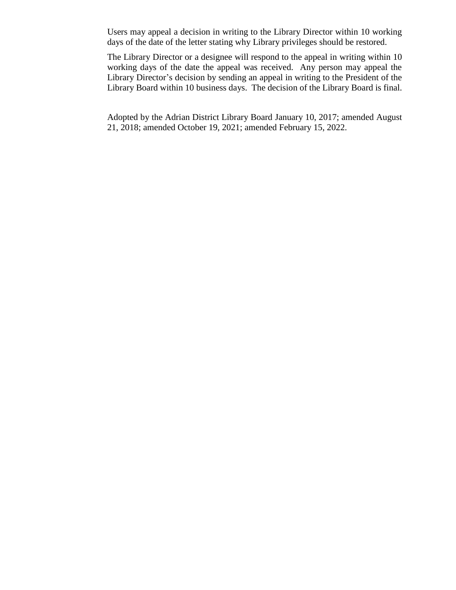Users may appeal a decision in writing to the Library Director within 10 working days of the date of the letter stating why Library privileges should be restored.

The Library Director or a designee will respond to the appeal in writing within 10 working days of the date the appeal was received. Any person may appeal the Library Director's decision by sending an appeal in writing to the President of the Library Board within 10 business days. The decision of the Library Board is final.

Adopted by the Adrian District Library Board January 10, 2017; amended August 21, 2018; amended October 19, 2021; amended February 15, 2022.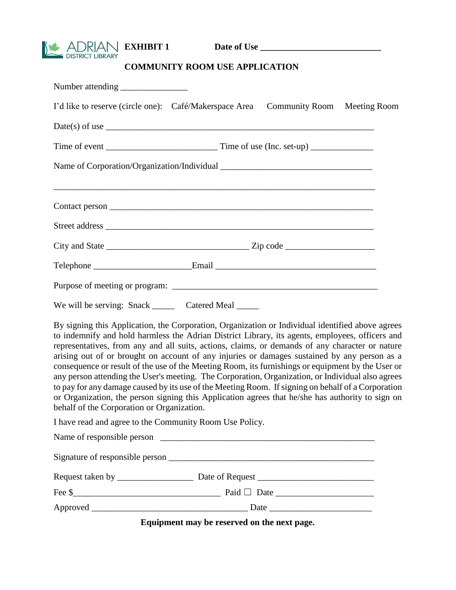**EXHIBIT 1 Date of Use \_\_\_\_\_\_\_\_\_\_\_\_\_\_\_\_\_\_\_\_\_\_\_\_\_\_\_** 

# **COMMUNITY ROOM USE APPLICATION**

| I'd like to reserve (circle one): Café/Makerspace Area                                                                                                                                                                                                                                                                                                                                                                                                                                                                                                                                                                                                                                                                                                                                                                                                                   |  | <b>Community Room</b> | <b>Meeting Room</b> |  |  |
|--------------------------------------------------------------------------------------------------------------------------------------------------------------------------------------------------------------------------------------------------------------------------------------------------------------------------------------------------------------------------------------------------------------------------------------------------------------------------------------------------------------------------------------------------------------------------------------------------------------------------------------------------------------------------------------------------------------------------------------------------------------------------------------------------------------------------------------------------------------------------|--|-----------------------|---------------------|--|--|
| Date(s) of use $\_\_$                                                                                                                                                                                                                                                                                                                                                                                                                                                                                                                                                                                                                                                                                                                                                                                                                                                    |  |                       |                     |  |  |
|                                                                                                                                                                                                                                                                                                                                                                                                                                                                                                                                                                                                                                                                                                                                                                                                                                                                          |  |                       |                     |  |  |
|                                                                                                                                                                                                                                                                                                                                                                                                                                                                                                                                                                                                                                                                                                                                                                                                                                                                          |  |                       |                     |  |  |
|                                                                                                                                                                                                                                                                                                                                                                                                                                                                                                                                                                                                                                                                                                                                                                                                                                                                          |  |                       |                     |  |  |
|                                                                                                                                                                                                                                                                                                                                                                                                                                                                                                                                                                                                                                                                                                                                                                                                                                                                          |  |                       |                     |  |  |
|                                                                                                                                                                                                                                                                                                                                                                                                                                                                                                                                                                                                                                                                                                                                                                                                                                                                          |  |                       |                     |  |  |
| City and State $\_\_\_\_\_\_\_\_\_\_\_\_\_$ Zip code $\_\_\_\_\_\_\_\_\_\_\_\_\_\_\_$                                                                                                                                                                                                                                                                                                                                                                                                                                                                                                                                                                                                                                                                                                                                                                                    |  |                       |                     |  |  |
| Telephone ______________________________Email ___________________________________                                                                                                                                                                                                                                                                                                                                                                                                                                                                                                                                                                                                                                                                                                                                                                                        |  |                       |                     |  |  |
|                                                                                                                                                                                                                                                                                                                                                                                                                                                                                                                                                                                                                                                                                                                                                                                                                                                                          |  |                       |                     |  |  |
| We will be serving: Snack ________ Catered Meal ______                                                                                                                                                                                                                                                                                                                                                                                                                                                                                                                                                                                                                                                                                                                                                                                                                   |  |                       |                     |  |  |
| By signing this Application, the Corporation, Organization or Individual identified above agrees<br>to indemnify and hold harmless the Adrian District Library, its agents, employees, officers and<br>representatives, from any and all suits, actions, claims, or demands of any character or nature<br>arising out of or brought on account of any injuries or damages sustained by any person as a<br>consequence or result of the use of the Meeting Room, its furnishings or equipment by the User or<br>any person attending the User's meeting. The Corporation, Organization, or Individual also agrees<br>to pay for any damage caused by its use of the Meeting Room. If signing on behalf of a Corporation<br>or Organization, the person signing this Application agrees that he/she has authority to sign on<br>behalf of the Corporation or Organization. |  |                       |                     |  |  |
| I have read and agree to the Community Room Use Policy.                                                                                                                                                                                                                                                                                                                                                                                                                                                                                                                                                                                                                                                                                                                                                                                                                  |  |                       |                     |  |  |
|                                                                                                                                                                                                                                                                                                                                                                                                                                                                                                                                                                                                                                                                                                                                                                                                                                                                          |  |                       |                     |  |  |
|                                                                                                                                                                                                                                                                                                                                                                                                                                                                                                                                                                                                                                                                                                                                                                                                                                                                          |  |                       |                     |  |  |
|                                                                                                                                                                                                                                                                                                                                                                                                                                                                                                                                                                                                                                                                                                                                                                                                                                                                          |  |                       |                     |  |  |
|                                                                                                                                                                                                                                                                                                                                                                                                                                                                                                                                                                                                                                                                                                                                                                                                                                                                          |  |                       |                     |  |  |
|                                                                                                                                                                                                                                                                                                                                                                                                                                                                                                                                                                                                                                                                                                                                                                                                                                                                          |  |                       |                     |  |  |

**Equipment may be reserved on the next page.**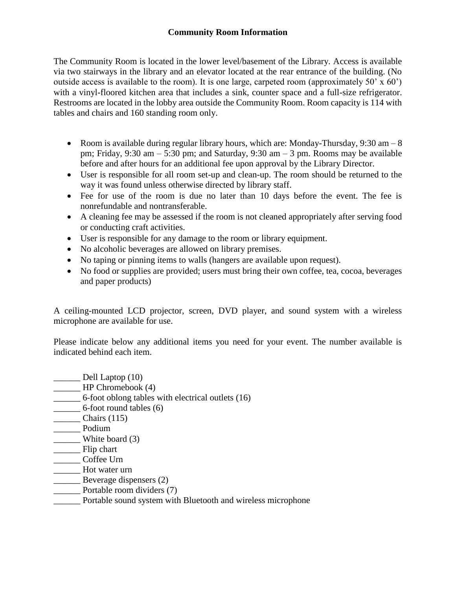### **Community Room Information**

The Community Room is located in the lower level/basement of the Library. Access is available via two stairways in the library and an elevator located at the rear entrance of the building. (No outside access is available to the room). It is one large, carpeted room (approximately 50'  $\times$  60') with a vinyl-floored kitchen area that includes a sink, counter space and a full-size refrigerator. Restrooms are located in the lobby area outside the Community Room. Room capacity is 114 with tables and chairs and 160 standing room only.

- Room is available during regular library hours, which are: Monday-Thursday,  $9:30 \text{ am } -8$ pm; Friday,  $9:30 \text{ am} - 5:30 \text{ pm}$ ; and Saturday,  $9:30 \text{ am} - 3 \text{ pm}$ . Rooms may be available before and after hours for an additional fee upon approval by the Library Director.
- User is responsible for all room set-up and clean-up. The room should be returned to the way it was found unless otherwise directed by library staff.
- Fee for use of the room is due no later than 10 days before the event. The fee is nonrefundable and nontransferable.
- A cleaning fee may be assessed if the room is not cleaned appropriately after serving food or conducting craft activities.
- User is responsible for any damage to the room or library equipment.
- No alcoholic beverages are allowed on library premises.
- No taping or pinning items to walls (hangers are available upon request).
- No food or supplies are provided; users must bring their own coffee, tea, cocoa, beverages and paper products)

A ceiling-mounted LCD projector, screen, DVD player, and sound system with a wireless microphone are available for use.

Please indicate below any additional items you need for your event. The number available is indicated behind each item.

| Dell Laptop (10)                                             |
|--------------------------------------------------------------|
| HP Chromebook (4)                                            |
| 6-foot oblong tables with electrical outlets (16)            |
| 6-foot round tables (6)                                      |
| Chairs $(115)$                                               |
| Podium                                                       |
| White board (3)                                              |
| Flip chart                                                   |
| Coffee Urn                                                   |
| Hot water urn                                                |
| Beverage dispensers (2)                                      |
| Portable room dividers (7)                                   |
| Portable sound system with Bluetooth and wireless microphone |